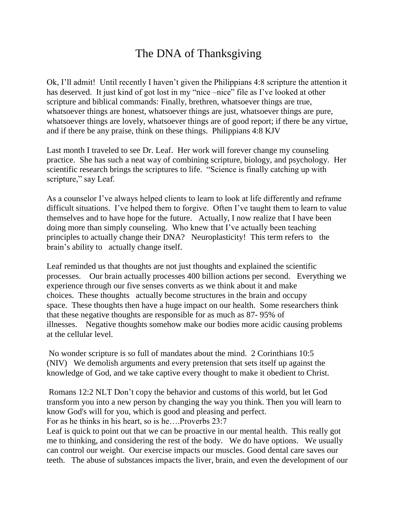## The DNA of Thanksgiving

Ok, I'll admit! Until recently I haven't given the Philippians 4:8 scripture the attention it has deserved. It just kind of got lost in my "nice –nice" file as I've looked at other scripture and biblical commands: Finally, brethren, whatsoever things are true, whatsoever things are honest, whatsoever things are just, whatsoever things are pure, whatsoever things are lovely, whatsoever things are of good report; if there be any virtue, and if there be any praise, think on these things. Philippians 4:8 KJV

Last month I traveled to see Dr. Leaf. Her work will forever change my counseling practice. She has such a neat way of combining scripture, biology, and psychology. Her scientific research brings the scriptures to life. "Science is finally catching up with scripture," say Leaf.

As a counselor I've always helped clients to learn to look at life differently and reframe difficult situations. I've helped them to forgive. Often I've taught them to learn to value themselves and to have hope for the future. Actually, I now realize that I have been doing more than simply counseling. Who knew that I've actually been teaching principles to actually change their DNA? Neuroplasticity! This term refers to the brain's ability to actually change itself.

Leaf reminded us that thoughts are not just thoughts and explained the scientific processes. Our brain actually processes 400 billion actions per second. Everything we experience through our five senses converts as we think about it and make choices. These thoughts actually become structures in the brain and occupy space. These thoughts then have a huge impact on our health. Some researchers think that these negative thoughts are responsible for as much as 87- 95% of illnesses. Negative thoughts somehow make our bodies more acidic causing problems at the cellular level.

No wonder scripture is so full of mandates about the mind. 2 Corinthians 10:5 (NIV) We demolish arguments and every pretension that sets itself up against the knowledge of God, and we take captive every thought to make it obedient to Christ.

Romans 12:2 NLT Don't copy the behavior and customs of this world, but let God transform you into a new person by changing the way you think. Then you will learn to know God's will for you, which is good and pleasing and perfect.

For as he thinks in his heart, so is he….Proverbs 23:7

Leaf is quick to point out that we can be proactive in our mental health. This really got me to thinking, and considering the rest of the body. We do have options. We usually can control our weight. Our exercise impacts our muscles. Good dental care saves our teeth. The abuse of substances impacts the liver, brain, and even the development of our